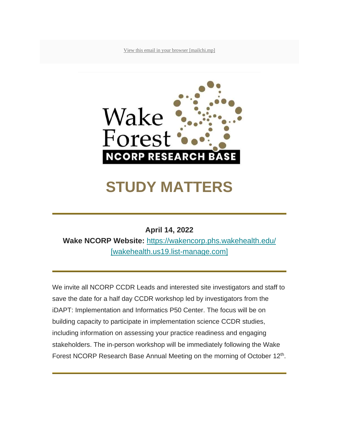[View this email in your browser \[mailchi.mp\]](https://urldefense.com/v3/__https:/mailchi.mp/094b1add0c06/wake-forest-research-base-bi-weekly-june-10-14281499?e=5e52385a02__;!!GA8Xfdg!nkbXx2PkTVOdKDE5Evcv0l7M9bmbQQBZeSKy4sfS1lsufllXrtkfE4XEFs-i944l$)



# **STUDY MATTERS**

#### **April 14, 2022**

**Wake NCORP Website:** [https://wakencorp.phs.wakehealth.edu/](https://urldefense.com/v3/__https:/wakehealth.us19.list-manage.com/track/click?u=a8dd4147fd4a4623cc1b318f8&id=0fc77f1765&e=5e52385a02__;!!GA8Xfdg!nkbXx2PkTVOdKDE5Evcv0l7M9bmbQQBZeSKy4sfS1lsufllXrtkfE4XEFuBdT2Bc$)  [\[wakehealth.us19.list-manage.com\]](https://urldefense.com/v3/__https:/wakehealth.us19.list-manage.com/track/click?u=a8dd4147fd4a4623cc1b318f8&id=0fc77f1765&e=5e52385a02__;!!GA8Xfdg!nkbXx2PkTVOdKDE5Evcv0l7M9bmbQQBZeSKy4sfS1lsufllXrtkfE4XEFuBdT2Bc$)

We invite all NCORP CCDR Leads and interested site investigators and staff to save the date for a half day CCDR workshop led by investigators from the iDAPT: Implementation and Informatics P50 Center. The focus will be on building capacity to participate in implementation science CCDR studies, including information on assessing your practice readiness and engaging stakeholders. The in-person workshop will be immediately following the Wake Forest NCORP Research Base Annual Meeting on the morning of October 12<sup>th</sup>.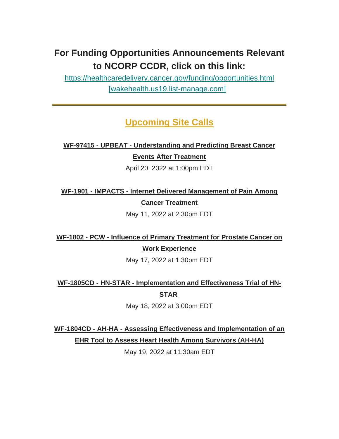# **For Funding Opportunities Announcements Relevant to NCORP CCDR, click on this link:**

[https://healthcaredelivery.cancer.gov/funding/opportunities.html](https://urldefense.com/v3/__https:/wakehealth.us19.list-manage.com/track/click?u=a8dd4147fd4a4623cc1b318f8&id=c009190864&e=5e52385a02__;!!GA8Xfdg!nkbXx2PkTVOdKDE5Evcv0l7M9bmbQQBZeSKy4sfS1lsufllXrtkfE4XEFhy-DPYn$)  [\[wakehealth.us19.list-manage.com\]](https://urldefense.com/v3/__https:/wakehealth.us19.list-manage.com/track/click?u=a8dd4147fd4a4623cc1b318f8&id=c009190864&e=5e52385a02__;!!GA8Xfdg!nkbXx2PkTVOdKDE5Evcv0l7M9bmbQQBZeSKy4sfS1lsufllXrtkfE4XEFhy-DPYn$)

## **Upcoming Site Calls**

## **WF-97415 - UPBEAT - Understanding and Predicting Breast Cancer Events After Treatment**

April 20, 2022 at 1:00pm EDT

## **WF-1901 - IMPACTS - Internet Delivered Management of Pain Among Cancer Treatment**

May 11, 2022 at 2:30pm EDT

## **WF-1802 - PCW - Influence of Primary Treatment for Prostate Cancer on Work Experience**

May 17, 2022 at 1:30pm EDT

### **WF-1805CD - HN-STAR - Implementation and Effectiveness Trial of HN-**

**STAR**

May 18, 2022 at 3:00pm EDT

**WF-1804CD - AH-HA - Assessing Effectiveness and Implementation of an EHR Tool to Assess Heart Health Among Survivors (AH-HA)**

May 19, 2022 at 11:30am EDT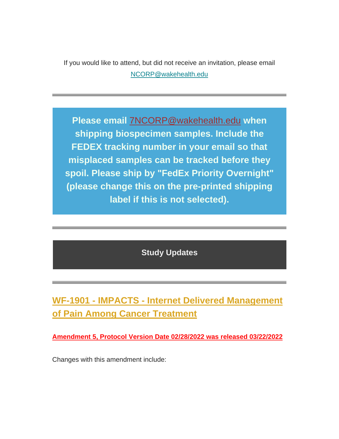If you would like to attend, but did not receive an invitation, please email [NCORP@wakehealth.edu](mailto:NCORP@wakehealth.edu)

**Please email** [7NCORP@wakehealth.edu](mailto:7NCORP@wakehealth.edu) **when shipping biospecimen samples. Include the FEDEX tracking number in your email so that misplaced samples can be tracked before they spoil. Please ship by "FedEx Priority Overnight" (please change this on the pre-printed shipping label if this is not selected).** 

## **Study Updates**

# **WF-1901 - IMPACTS - Internet Delivered Management of Pain Among Cancer Treatment**

**Amendment 5, Protocol Version Date 02/28/2022 was released 03/22/2022**

Changes with this amendment include: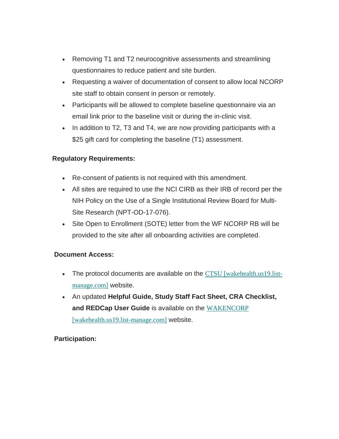- Removing T1 and T2 neurocognitive assessments and streamlining questionnaires to reduce patient and site burden.
- Requesting a waiver of documentation of consent to allow local NCORP site staff to obtain consent in person or remotely.
- Participants will be allowed to complete baseline questionnaire via an email link prior to the baseline visit or during the in-clinic visit.
- In addition to T2, T3 and T4, we are now providing participants with a \$25 gift card for completing the baseline (T1) assessment.

#### **Regulatory Requirements:**

- Re-consent of patients is not required with this amendment.
- All sites are required to use the NCI CIRB as their IRB of record per the NIH Policy on the Use of a Single Institutional Review Board for Multi-Site Research (NPT-OD-17-076).
- Site Open to Enrollment (SOTE) letter from the WF NCORP RB will be provided to the site after all onboarding activities are completed.

#### **Document Access:**

- The protocol documents are available on the [CTSU \[wakehealth.us19.list](https://urldefense.com/v3/__https:/wakehealth.us19.list-manage.com/track/click?u=a8dd4147fd4a4623cc1b318f8&id=f3b7dac023&e=5e52385a02__;!!GA8Xfdg!nkbXx2PkTVOdKDE5Evcv0l7M9bmbQQBZeSKy4sfS1lsufllXrtkfE4XEFmR72yM4$)[manage.com\]](https://urldefense.com/v3/__https:/wakehealth.us19.list-manage.com/track/click?u=a8dd4147fd4a4623cc1b318f8&id=f3b7dac023&e=5e52385a02__;!!GA8Xfdg!nkbXx2PkTVOdKDE5Evcv0l7M9bmbQQBZeSKy4sfS1lsufllXrtkfE4XEFmR72yM4$) website.
- An updated **Helpful Guide, Study Staff Fact Sheet, CRA Checklist, and REDCap User Guide** is available on the [WAKENCORP](https://urldefense.com/v3/__https:/wakehealth.us19.list-manage.com/track/click?u=a8dd4147fd4a4623cc1b318f8&id=e67f4fb4ed&e=5e52385a02__;!!GA8Xfdg!nkbXx2PkTVOdKDE5Evcv0l7M9bmbQQBZeSKy4sfS1lsufllXrtkfE4XEFnbMrK0m$)  [\[wakehealth.us19.list-manage.com\]](https://urldefense.com/v3/__https:/wakehealth.us19.list-manage.com/track/click?u=a8dd4147fd4a4623cc1b318f8&id=e67f4fb4ed&e=5e52385a02__;!!GA8Xfdg!nkbXx2PkTVOdKDE5Evcv0l7M9bmbQQBZeSKy4sfS1lsufllXrtkfE4XEFnbMrK0m$) website.

#### **Participation:**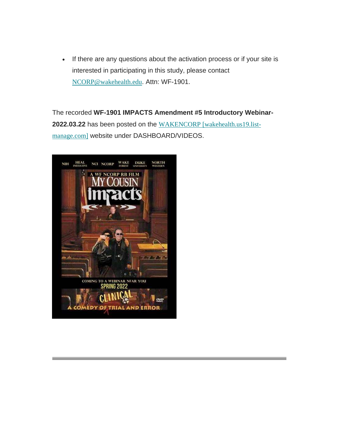• If there are any questions about the activation process or if your site is interested in participating in this study, please contact [NCORP@wakehealth.edu](mailto:NCORP@wakehealth.edu). Attn: WF-1901.

The recorded **WF-1901 IMPACTS Amendment #5 Introductory Webinar-2022.03.22** has been posted on the [WAKENCORP \[wakehealth.us19.list](https://urldefense.com/v3/__https:/wakehealth.us19.list-manage.com/track/click?u=a8dd4147fd4a4623cc1b318f8&id=e389ecd881&e=5e52385a02__;!!GA8Xfdg!nkbXx2PkTVOdKDE5Evcv0l7M9bmbQQBZeSKy4sfS1lsufllXrtkfE4XEFkIspZzX$)[manage.com\]](https://urldefense.com/v3/__https:/wakehealth.us19.list-manage.com/track/click?u=a8dd4147fd4a4623cc1b318f8&id=e389ecd881&e=5e52385a02__;!!GA8Xfdg!nkbXx2PkTVOdKDE5Evcv0l7M9bmbQQBZeSKy4sfS1lsufllXrtkfE4XEFkIspZzX$) website under DASHBOARD/VIDEOS.

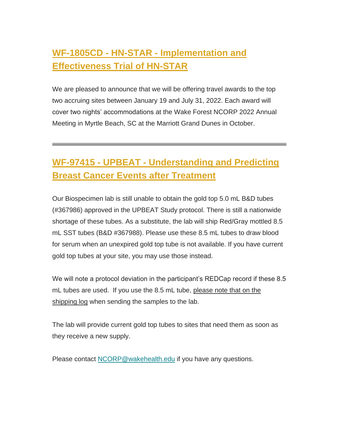# **WF-1805CD - HN-STAR - Implementation and Effectiveness Trial of HN-STAR**

We are pleased to announce that we will be offering travel awards to the top two accruing sites between January 19 and July 31, 2022. Each award will cover two nights' accommodations at the Wake Forest NCORP 2022 Annual Meeting in Myrtle Beach, SC at the Marriott Grand Dunes in October.

# **WF-97415 - UPBEAT - Understanding and Predicting Breast Cancer Events after Treatment**

Our Biospecimen lab is still unable to obtain the gold top 5.0 mL B&D tubes (#367986) approved in the UPBEAT Study protocol. There is still a nationwide shortage of these tubes. As a substitute, the lab will ship Red/Gray mottled 8.5 mL SST tubes (B&D #367988). Please use these 8.5 mL tubes to draw blood for serum when an unexpired gold top tube is not available. If you have current gold top tubes at your site, you may use those instead.

We will note a protocol deviation in the participant's REDCap record if these 8.5 mL tubes are used. If you use the 8.5 mL tube, please note that on the shipping log when sending the samples to the lab.

The lab will provide current gold top tubes to sites that need them as soon as they receive a new supply.

Please contact [NCORP@wakehealth.edu](mailto:NCORP@wakehealth.edu) if you have any questions.